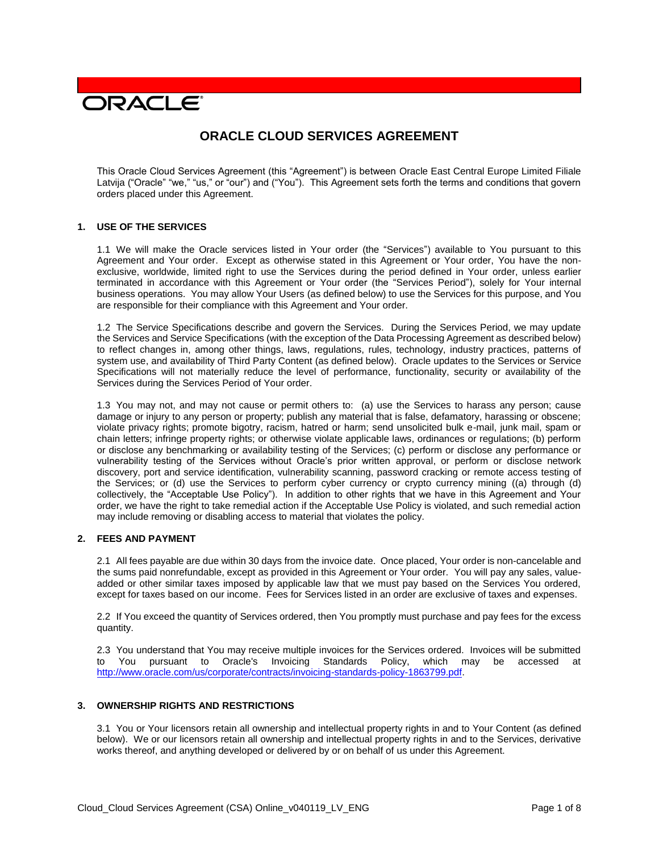# **DRACLE**

# **ORACLE CLOUD SERVICES AGREEMENT**

This Oracle Cloud Services Agreement (this "Agreement") is between Oracle East Central Europe Limited Filiale Latvija ("Oracle" "we," "us," or "our") and ("You"). This Agreement sets forth the terms and conditions that govern orders placed under this Agreement.

#### **1. USE OF THE SERVICES**

1.1 We will make the Oracle services listed in Your order (the "Services") available to You pursuant to this Agreement and Your order. Except as otherwise stated in this Agreement or Your order, You have the nonexclusive, worldwide, limited right to use the Services during the period defined in Your order, unless earlier terminated in accordance with this Agreement or Your order (the "Services Period"), solely for Your internal business operations. You may allow Your Users (as defined below) to use the Services for this purpose, and You are responsible for their compliance with this Agreement and Your order.

1.2 The Service Specifications describe and govern the Services. During the Services Period, we may update the Services and Service Specifications (with the exception of the Data Processing Agreement as described below) to reflect changes in, among other things, laws, regulations, rules, technology, industry practices, patterns of system use, and availability of Third Party Content (as defined below). Oracle updates to the Services or Service Specifications will not materially reduce the level of performance, functionality, security or availability of the Services during the Services Period of Your order.

1.3 You may not, and may not cause or permit others to: (a) use the Services to harass any person; cause damage or injury to any person or property; publish any material that is false, defamatory, harassing or obscene; violate privacy rights; promote bigotry, racism, hatred or harm; send unsolicited bulk e-mail, junk mail, spam or chain letters; infringe property rights; or otherwise violate applicable laws, ordinances or regulations; (b) perform or disclose any benchmarking or availability testing of the Services; (c) perform or disclose any performance or vulnerability testing of the Services without Oracle's prior written approval, or perform or disclose network discovery, port and service identification, vulnerability scanning, password cracking or remote access testing of the Services; or (d) use the Services to perform cyber currency or crypto currency mining ((a) through (d) collectively, the "Acceptable Use Policy"). In addition to other rights that we have in this Agreement and Your order, we have the right to take remedial action if the Acceptable Use Policy is violated, and such remedial action may include removing or disabling access to material that violates the policy.

# **2. FEES AND PAYMENT**

2.1 All fees payable are due within 30 days from the invoice date. Once placed, Your order is non-cancelable and the sums paid nonrefundable, except as provided in this Agreement or Your order. You will pay any sales, valueadded or other similar taxes imposed by applicable law that we must pay based on the Services You ordered, except for taxes based on our income. Fees for Services listed in an order are exclusive of taxes and expenses.

2.2 If You exceed the quantity of Services ordered, then You promptly must purchase and pay fees for the excess quantity.

2.3 You understand that You may receive multiple invoices for the Services ordered. Invoices will be submitted to You pursuant to Oracle's Invoicing Standards Policy, which may be accessed at [http://www.oracle.com/us/corporate/contracts/invoicing-standards-policy-1863799.pdf.](http://www.oracle.com/us/corporate/contracts/invoicing-standards-policy-1863799.pdf)

# **3. OWNERSHIP RIGHTS AND RESTRICTIONS**

3.1 You or Your licensors retain all ownership and intellectual property rights in and to Your Content (as defined below). We or our licensors retain all ownership and intellectual property rights in and to the Services, derivative works thereof, and anything developed or delivered by or on behalf of us under this Agreement.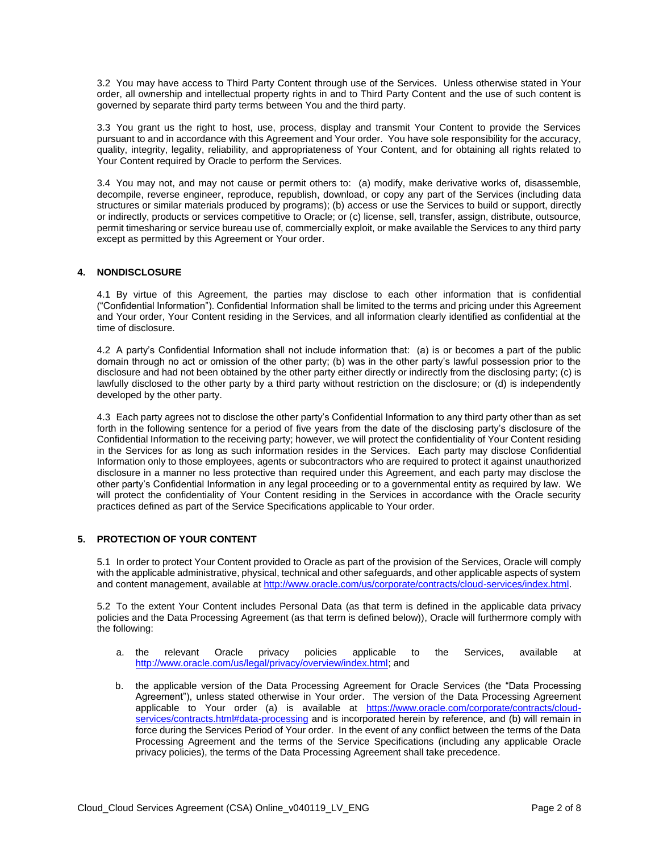3.2 You may have access to Third Party Content through use of the Services. Unless otherwise stated in Your order, all ownership and intellectual property rights in and to Third Party Content and the use of such content is governed by separate third party terms between You and the third party.

3.3 You grant us the right to host, use, process, display and transmit Your Content to provide the Services pursuant to and in accordance with this Agreement and Your order. You have sole responsibility for the accuracy, quality, integrity, legality, reliability, and appropriateness of Your Content, and for obtaining all rights related to Your Content required by Oracle to perform the Services.

3.4 You may not, and may not cause or permit others to: (a) modify, make derivative works of, disassemble, decompile, reverse engineer, reproduce, republish, download, or copy any part of the Services (including data structures or similar materials produced by programs); (b) access or use the Services to build or support, directly or indirectly, products or services competitive to Oracle; or (c) license, sell, transfer, assign, distribute, outsource, permit timesharing or service bureau use of, commercially exploit, or make available the Services to any third party except as permitted by this Agreement or Your order.

# **4. NONDISCLOSURE**

4.1 By virtue of this Agreement, the parties may disclose to each other information that is confidential ("Confidential Information"). Confidential Information shall be limited to the terms and pricing under this Agreement and Your order, Your Content residing in the Services, and all information clearly identified as confidential at the time of disclosure.

4.2 A party's Confidential Information shall not include information that: (a) is or becomes a part of the public domain through no act or omission of the other party; (b) was in the other party's lawful possession prior to the disclosure and had not been obtained by the other party either directly or indirectly from the disclosing party; (c) is lawfully disclosed to the other party by a third party without restriction on the disclosure; or (d) is independently developed by the other party.

4.3 Each party agrees not to disclose the other party's Confidential Information to any third party other than as set forth in the following sentence for a period of five years from the date of the disclosing party's disclosure of the Confidential Information to the receiving party; however, we will protect the confidentiality of Your Content residing in the Services for as long as such information resides in the Services. Each party may disclose Confidential Information only to those employees, agents or subcontractors who are required to protect it against unauthorized disclosure in a manner no less protective than required under this Agreement, and each party may disclose the other party's Confidential Information in any legal proceeding or to a governmental entity as required by law. We will protect the confidentiality of Your Content residing in the Services in accordance with the Oracle security practices defined as part of the Service Specifications applicable to Your order.

# **5. PROTECTION OF YOUR CONTENT**

5.1 In order to protect Your Content provided to Oracle as part of the provision of the Services, Oracle will comply with the applicable administrative, physical, technical and other safeguards, and other applicable aspects of system and content management, available at [http://www.oracle.com/us/corporate/contracts/cloud-services/index.html.](http://www.oracle.com/us/corporate/contracts/cloud-services/index.html)

5.2 To the extent Your Content includes Personal Data (as that term is defined in the applicable data privacy policies and the Data Processing Agreement (as that term is defined below)), Oracle will furthermore comply with the following:

- a. the relevant Oracle privacy policies applicable to the Services, available at [http://www.oracle.com/us/legal/privacy/overview/index.html;](http://www.oracle.com/us/legal/privacy/overview/index.html) and
- b. the applicable version of the Data Processing Agreement for Oracle Services (the "Data Processing Agreement"), unless stated otherwise in Your order. The version of the Data Processing Agreement applicable to Your order (a) is available at [https://www.oracle.com/corporate/contracts/cloud](https://www.oracle.com/corporate/contracts/cloud-services/contracts.html#data-processing)[services/contracts.html#data-processing](https://www.oracle.com/corporate/contracts/cloud-services/contracts.html#data-processing) and is incorporated herein by reference, and (b) will remain in force during the Services Period of Your order. In the event of any conflict between the terms of the Data Processing Agreement and the terms of the Service Specifications (including any applicable Oracle privacy policies), the terms of the Data Processing Agreement shall take precedence.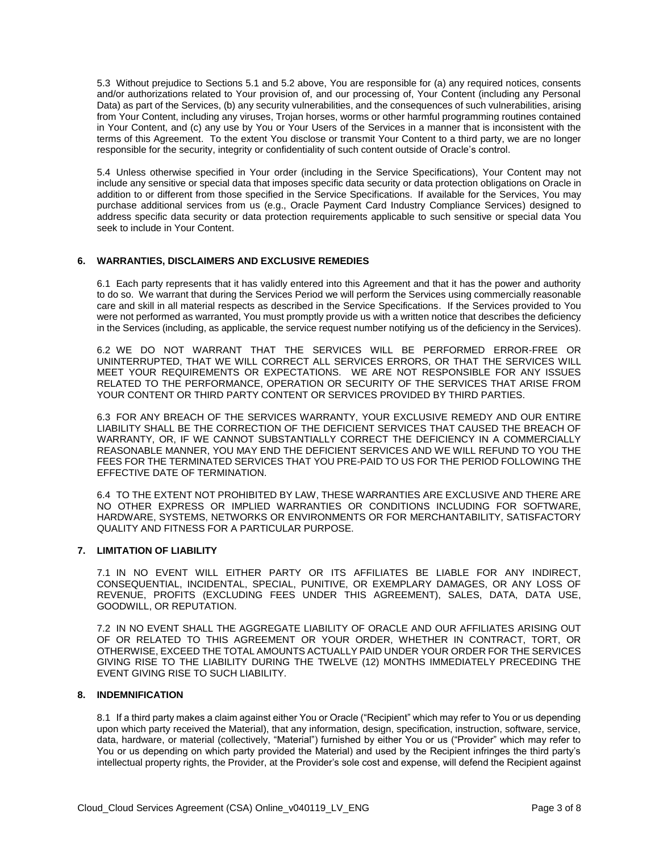5.3 Without prejudice to Sections 5.1 and 5.2 above, You are responsible for (a) any required notices, consents and/or authorizations related to Your provision of, and our processing of, Your Content (including any Personal Data) as part of the Services, (b) any security vulnerabilities, and the consequences of such vulnerabilities, arising from Your Content, including any viruses, Trojan horses, worms or other harmful programming routines contained in Your Content, and (c) any use by You or Your Users of the Services in a manner that is inconsistent with the terms of this Agreement. To the extent You disclose or transmit Your Content to a third party, we are no longer responsible for the security, integrity or confidentiality of such content outside of Oracle's control.

5.4 Unless otherwise specified in Your order (including in the Service Specifications), Your Content may not include any sensitive or special data that imposes specific data security or data protection obligations on Oracle in addition to or different from those specified in the Service Specifications. If available for the Services, You may purchase additional services from us (e.g., Oracle Payment Card Industry Compliance Services) designed to address specific data security or data protection requirements applicable to such sensitive or special data You seek to include in Your Content.

#### **6. WARRANTIES, DISCLAIMERS AND EXCLUSIVE REMEDIES**

6.1 Each party represents that it has validly entered into this Agreement and that it has the power and authority to do so. We warrant that during the Services Period we will perform the Services using commercially reasonable care and skill in all material respects as described in the Service Specifications. If the Services provided to You were not performed as warranted, You must promptly provide us with a written notice that describes the deficiency in the Services (including, as applicable, the service request number notifying us of the deficiency in the Services).

6.2 WE DO NOT WARRANT THAT THE SERVICES WILL BE PERFORMED ERROR-FREE OR UNINTERRUPTED, THAT WE WILL CORRECT ALL SERVICES ERRORS, OR THAT THE SERVICES WILL MEET YOUR REQUIREMENTS OR EXPECTATIONS. WE ARE NOT RESPONSIBLE FOR ANY ISSUES RELATED TO THE PERFORMANCE, OPERATION OR SECURITY OF THE SERVICES THAT ARISE FROM YOUR CONTENT OR THIRD PARTY CONTENT OR SERVICES PROVIDED BY THIRD PARTIES.

6.3 FOR ANY BREACH OF THE SERVICES WARRANTY, YOUR EXCLUSIVE REMEDY AND OUR ENTIRE LIABILITY SHALL BE THE CORRECTION OF THE DEFICIENT SERVICES THAT CAUSED THE BREACH OF WARRANTY, OR, IF WE CANNOT SUBSTANTIALLY CORRECT THE DEFICIENCY IN A COMMERCIALLY REASONABLE MANNER, YOU MAY END THE DEFICIENT SERVICES AND WE WILL REFUND TO YOU THE FEES FOR THE TERMINATED SERVICES THAT YOU PRE-PAID TO US FOR THE PERIOD FOLLOWING THE EFFECTIVE DATE OF TERMINATION.

6.4 TO THE EXTENT NOT PROHIBITED BY LAW, THESE WARRANTIES ARE EXCLUSIVE AND THERE ARE NO OTHER EXPRESS OR IMPLIED WARRANTIES OR CONDITIONS INCLUDING FOR SOFTWARE, HARDWARE, SYSTEMS, NETWORKS OR ENVIRONMENTS OR FOR MERCHANTABILITY, SATISFACTORY QUALITY AND FITNESS FOR A PARTICULAR PURPOSE.

#### **7. LIMITATION OF LIABILITY**

7.1 IN NO EVENT WILL EITHER PARTY OR ITS AFFILIATES BE LIABLE FOR ANY INDIRECT, CONSEQUENTIAL, INCIDENTAL, SPECIAL, PUNITIVE, OR EXEMPLARY DAMAGES, OR ANY LOSS OF REVENUE, PROFITS (EXCLUDING FEES UNDER THIS AGREEMENT), SALES, DATA, DATA USE, GOODWILL, OR REPUTATION.

7.2 IN NO EVENT SHALL THE AGGREGATE LIABILITY OF ORACLE AND OUR AFFILIATES ARISING OUT OF OR RELATED TO THIS AGREEMENT OR YOUR ORDER, WHETHER IN CONTRACT, TORT, OR OTHERWISE, EXCEED THE TOTAL AMOUNTS ACTUALLY PAID UNDER YOUR ORDER FOR THE SERVICES GIVING RISE TO THE LIABILITY DURING THE TWELVE (12) MONTHS IMMEDIATELY PRECEDING THE EVENT GIVING RISE TO SUCH LIABILITY.

#### **8. INDEMNIFICATION**

8.1 If a third party makes a claim against either You or Oracle ("Recipient" which may refer to You or us depending upon which party received the Material), that any information, design, specification, instruction, software, service, data, hardware, or material (collectively, "Material") furnished by either You or us ("Provider" which may refer to You or us depending on which party provided the Material) and used by the Recipient infringes the third party's intellectual property rights, the Provider, at the Provider's sole cost and expense, will defend the Recipient against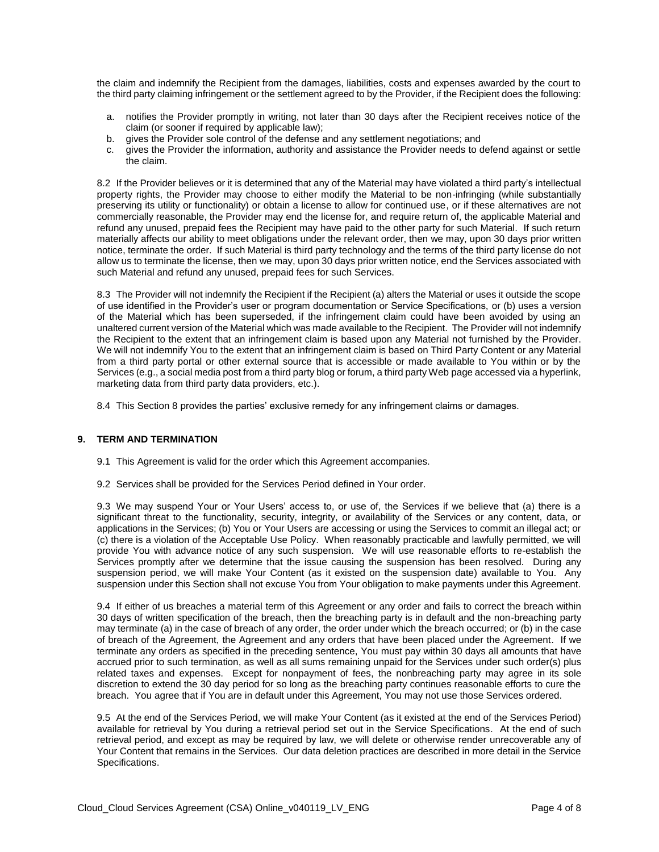the claim and indemnify the Recipient from the damages, liabilities, costs and expenses awarded by the court to the third party claiming infringement or the settlement agreed to by the Provider, if the Recipient does the following:

- a. notifies the Provider promptly in writing, not later than 30 days after the Recipient receives notice of the claim (or sooner if required by applicable law);
- b. gives the Provider sole control of the defense and any settlement negotiations; and
- c. gives the Provider the information, authority and assistance the Provider needs to defend against or settle the claim.

8.2 If the Provider believes or it is determined that any of the Material may have violated a third party's intellectual property rights, the Provider may choose to either modify the Material to be non-infringing (while substantially preserving its utility or functionality) or obtain a license to allow for continued use, or if these alternatives are not commercially reasonable, the Provider may end the license for, and require return of, the applicable Material and refund any unused, prepaid fees the Recipient may have paid to the other party for such Material. If such return materially affects our ability to meet obligations under the relevant order, then we may, upon 30 days prior written notice, terminate the order. If such Material is third party technology and the terms of the third party license do not allow us to terminate the license, then we may, upon 30 days prior written notice, end the Services associated with such Material and refund any unused, prepaid fees for such Services.

8.3 The Provider will not indemnify the Recipient if the Recipient (a) alters the Material or uses it outside the scope of use identified in the Provider's user or program documentation or Service Specifications, or (b) uses a version of the Material which has been superseded, if the infringement claim could have been avoided by using an unaltered current version of the Material which was made available to the Recipient. The Provider will not indemnify the Recipient to the extent that an infringement claim is based upon any Material not furnished by the Provider. We will not indemnify You to the extent that an infringement claim is based on Third Party Content or any Material from a third party portal or other external source that is accessible or made available to You within or by the Services (e.g., a social media post from a third party blog or forum, a third party Web page accessed via a hyperlink, marketing data from third party data providers, etc.).

8.4 This Section 8 provides the parties' exclusive remedy for any infringement claims or damages.

#### **9. TERM AND TERMINATION**

- 9.1 This Agreement is valid for the order which this Agreement accompanies.
- 9.2 Services shall be provided for the Services Period defined in Your order.

9.3 We may suspend Your or Your Users' access to, or use of, the Services if we believe that (a) there is a significant threat to the functionality, security, integrity, or availability of the Services or any content, data, or applications in the Services; (b) You or Your Users are accessing or using the Services to commit an illegal act; or (c) there is a violation of the Acceptable Use Policy. When reasonably practicable and lawfully permitted, we will provide You with advance notice of any such suspension. We will use reasonable efforts to re-establish the Services promptly after we determine that the issue causing the suspension has been resolved. During any suspension period, we will make Your Content (as it existed on the suspension date) available to You. Any suspension under this Section shall not excuse You from Your obligation to make payments under this Agreement.

9.4 If either of us breaches a material term of this Agreement or any order and fails to correct the breach within 30 days of written specification of the breach, then the breaching party is in default and the non-breaching party may terminate (a) in the case of breach of any order, the order under which the breach occurred; or (b) in the case of breach of the Agreement, the Agreement and any orders that have been placed under the Agreement. If we terminate any orders as specified in the preceding sentence, You must pay within 30 days all amounts that have accrued prior to such termination, as well as all sums remaining unpaid for the Services under such order(s) plus related taxes and expenses. Except for nonpayment of fees, the nonbreaching party may agree in its sole discretion to extend the 30 day period for so long as the breaching party continues reasonable efforts to cure the breach. You agree that if You are in default under this Agreement, You may not use those Services ordered.

9.5 At the end of the Services Period, we will make Your Content (as it existed at the end of the Services Period) available for retrieval by You during a retrieval period set out in the Service Specifications. At the end of such retrieval period, and except as may be required by law, we will delete or otherwise render unrecoverable any of Your Content that remains in the Services. Our data deletion practices are described in more detail in the Service Specifications.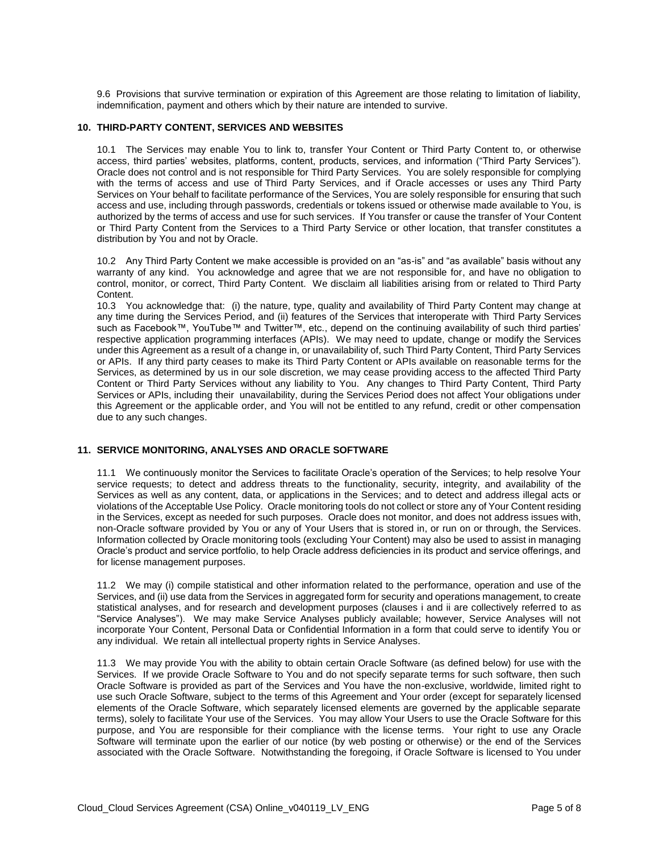9.6 Provisions that survive termination or expiration of this Agreement are those relating to limitation of liability, indemnification, payment and others which by their nature are intended to survive.

#### **10. THIRD-PARTY CONTENT, SERVICES AND WEBSITES**

10.1 The Services may enable You to link to, transfer Your Content or Third Party Content to, or otherwise access, third parties' websites, platforms, content, products, services, and information ("Third Party Services"). Oracle does not control and is not responsible for Third Party Services. You are solely responsible for complying with the terms of access and use of Third Party Services, and if Oracle accesses or uses any Third Party Services on Your behalf to facilitate performance of the Services, You are solely responsible for ensuring that such access and use, including through passwords, credentials or tokens issued or otherwise made available to You, is authorized by the terms of access and use for such services. If You transfer or cause the transfer of Your Content or Third Party Content from the Services to a Third Party Service or other location, that transfer constitutes a distribution by You and not by Oracle.

10.2 Any Third Party Content we make accessible is provided on an "as-is" and "as available" basis without any warranty of any kind. You acknowledge and agree that we are not responsible for, and have no obligation to control, monitor, or correct, Third Party Content. We disclaim all liabilities arising from or related to Third Party Content.

10.3 You acknowledge that: (i) the nature, type, quality and availability of Third Party Content may change at any time during the Services Period, and (ii) features of the Services that interoperate with Third Party Services such as Facebook™, YouTube™ and Twitter™, etc., depend on the continuing availability of such third parties' respective application programming interfaces (APIs). We may need to update, change or modify the Services under this Agreement as a result of a change in, or unavailability of, such Third Party Content, Third Party Services or APIs. If any third party ceases to make its Third Party Content or APIs available on reasonable terms for the Services, as determined by us in our sole discretion, we may cease providing access to the affected Third Party Content or Third Party Services without any liability to You. Any changes to Third Party Content, Third Party Services or APIs, including their unavailability, during the Services Period does not affect Your obligations under this Agreement or the applicable order, and You will not be entitled to any refund, credit or other compensation due to any such changes.

# **11. SERVICE MONITORING, ANALYSES AND ORACLE SOFTWARE**

11.1 We continuously monitor the Services to facilitate Oracle's operation of the Services; to help resolve Your service requests; to detect and address threats to the functionality, security, integrity, and availability of the Services as well as any content, data, or applications in the Services; and to detect and address illegal acts or violations of the Acceptable Use Policy. Oracle monitoring tools do not collect or store any of Your Content residing in the Services, except as needed for such purposes. Oracle does not monitor, and does not address issues with, non-Oracle software provided by You or any of Your Users that is stored in, or run on or through, the Services. Information collected by Oracle monitoring tools (excluding Your Content) may also be used to assist in managing Oracle's product and service portfolio, to help Oracle address deficiencies in its product and service offerings, and for license management purposes.

11.2 We may (i) compile statistical and other information related to the performance, operation and use of the Services, and (ii) use data from the Services in aggregated form for security and operations management, to create statistical analyses, and for research and development purposes (clauses i and ii are collectively referred to as "Service Analyses"). We may make Service Analyses publicly available; however, Service Analyses will not incorporate Your Content, Personal Data or Confidential Information in a form that could serve to identify You or any individual. We retain all intellectual property rights in Service Analyses.

11.3 We may provide You with the ability to obtain certain Oracle Software (as defined below) for use with the Services. If we provide Oracle Software to You and do not specify separate terms for such software, then such Oracle Software is provided as part of the Services and You have the non-exclusive, worldwide, limited right to use such Oracle Software, subject to the terms of this Agreement and Your order (except for separately licensed elements of the Oracle Software, which separately licensed elements are governed by the applicable separate terms), solely to facilitate Your use of the Services. You may allow Your Users to use the Oracle Software for this purpose, and You are responsible for their compliance with the license terms. Your right to use any Oracle Software will terminate upon the earlier of our notice (by web posting or otherwise) or the end of the Services associated with the Oracle Software. Notwithstanding the foregoing, if Oracle Software is licensed to You under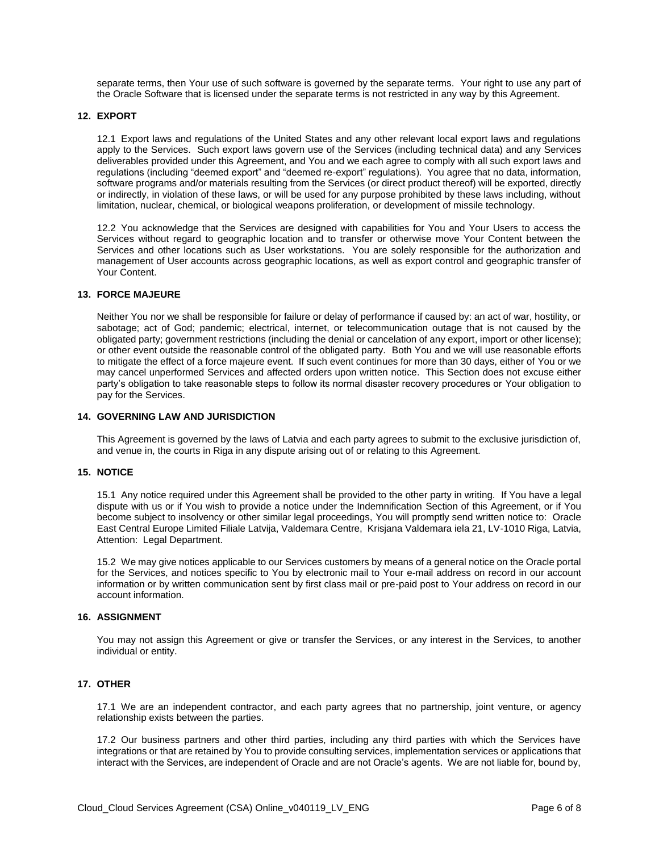separate terms, then Your use of such software is governed by the separate terms. Your right to use any part of the Oracle Software that is licensed under the separate terms is not restricted in any way by this Agreement.

#### **12. EXPORT**

12.1 Export laws and regulations of the United States and any other relevant local export laws and regulations apply to the Services. Such export laws govern use of the Services (including technical data) and any Services deliverables provided under this Agreement, and You and we each agree to comply with all such export laws and regulations (including "deemed export" and "deemed re-export" regulations). You agree that no data, information, software programs and/or materials resulting from the Services (or direct product thereof) will be exported, directly or indirectly, in violation of these laws, or will be used for any purpose prohibited by these laws including, without limitation, nuclear, chemical, or biological weapons proliferation, or development of missile technology.

12.2 You acknowledge that the Services are designed with capabilities for You and Your Users to access the Services without regard to geographic location and to transfer or otherwise move Your Content between the Services and other locations such as User workstations. You are solely responsible for the authorization and management of User accounts across geographic locations, as well as export control and geographic transfer of Your Content.

#### **13. FORCE MAJEURE**

Neither You nor we shall be responsible for failure or delay of performance if caused by: an act of war, hostility, or sabotage; act of God; pandemic; electrical, internet, or telecommunication outage that is not caused by the obligated party; government restrictions (including the denial or cancelation of any export, import or other license); or other event outside the reasonable control of the obligated party. Both You and we will use reasonable efforts to mitigate the effect of a force majeure event. If such event continues for more than 30 days, either of You or we may cancel unperformed Services and affected orders upon written notice. This Section does not excuse either party's obligation to take reasonable steps to follow its normal disaster recovery procedures or Your obligation to pay for the Services.

# **14. GOVERNING LAW AND JURISDICTION**

This Agreement is governed by the laws of Latvia and each party agrees to submit to the exclusive jurisdiction of, and venue in, the courts in Riga in any dispute arising out of or relating to this Agreement.

#### **15. NOTICE**

15.1 Any notice required under this Agreement shall be provided to the other party in writing. If You have a legal dispute with us or if You wish to provide a notice under the Indemnification Section of this Agreement, or if You become subject to insolvency or other similar legal proceedings, You will promptly send written notice to: Oracle East Central Europe Limited Filiale Latvija, Valdemara Centre, Krisjana Valdemara iela 21, LV-1010 Riga, Latvia, Attention: Legal Department.

15.2 We may give notices applicable to our Services customers by means of a general notice on the Oracle portal for the Services, and notices specific to You by electronic mail to Your e-mail address on record in our account information or by written communication sent by first class mail or pre-paid post to Your address on record in our account information.

#### **16. ASSIGNMENT**

You may not assign this Agreement or give or transfer the Services, or any interest in the Services, to another individual or entity.

# **17. OTHER**

17.1 We are an independent contractor, and each party agrees that no partnership, joint venture, or agency relationship exists between the parties.

17.2 Our business partners and other third parties, including any third parties with which the Services have integrations or that are retained by You to provide consulting services, implementation services or applications that interact with the Services, are independent of Oracle and are not Oracle's agents. We are not liable for, bound by,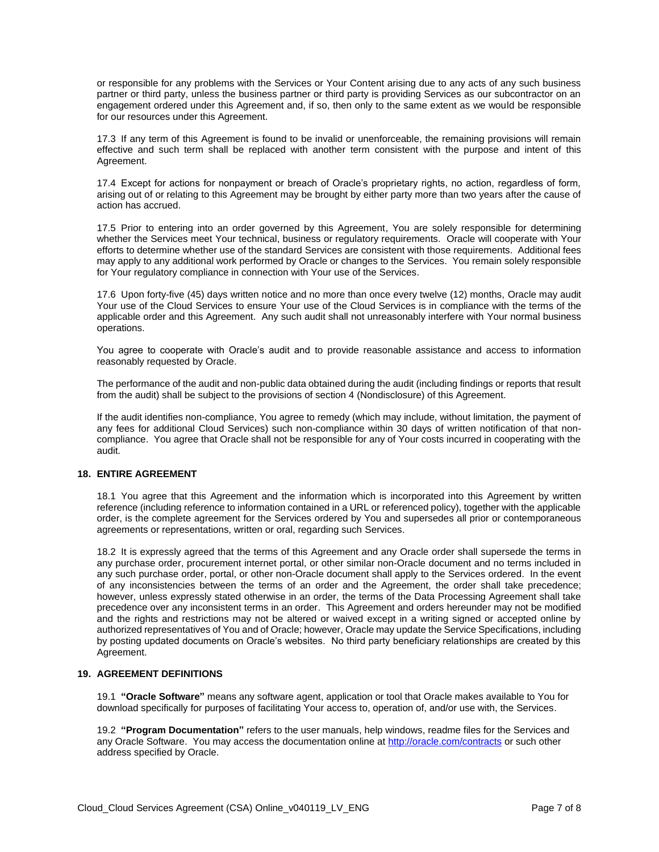or responsible for any problems with the Services or Your Content arising due to any acts of any such business partner or third party, unless the business partner or third party is providing Services as our subcontractor on an engagement ordered under this Agreement and, if so, then only to the same extent as we would be responsible for our resources under this Agreement.

17.3 If any term of this Agreement is found to be invalid or unenforceable, the remaining provisions will remain effective and such term shall be replaced with another term consistent with the purpose and intent of this Agreement.

17.4 Except for actions for nonpayment or breach of Oracle's proprietary rights, no action, regardless of form, arising out of or relating to this Agreement may be brought by either party more than two years after the cause of action has accrued.

17.5 Prior to entering into an order governed by this Agreement, You are solely responsible for determining whether the Services meet Your technical, business or regulatory requirements. Oracle will cooperate with Your efforts to determine whether use of the standard Services are consistent with those requirements. Additional fees may apply to any additional work performed by Oracle or changes to the Services. You remain solely responsible for Your regulatory compliance in connection with Your use of the Services.

17.6 Upon forty-five (45) days written notice and no more than once every twelve (12) months, Oracle may audit Your use of the Cloud Services to ensure Your use of the Cloud Services is in compliance with the terms of the applicable order and this Agreement. Any such audit shall not unreasonably interfere with Your normal business operations.

You agree to cooperate with Oracle's audit and to provide reasonable assistance and access to information reasonably requested by Oracle.

The performance of the audit and non-public data obtained during the audit (including findings or reports that result from the audit) shall be subject to the provisions of section 4 (Nondisclosure) of this Agreement.

If the audit identifies non-compliance, You agree to remedy (which may include, without limitation, the payment of any fees for additional Cloud Services) such non-compliance within 30 days of written notification of that noncompliance. You agree that Oracle shall not be responsible for any of Your costs incurred in cooperating with the audit.

# **18. ENTIRE AGREEMENT**

18.1 You agree that this Agreement and the information which is incorporated into this Agreement by written reference (including reference to information contained in a URL or referenced policy), together with the applicable order, is the complete agreement for the Services ordered by You and supersedes all prior or contemporaneous agreements or representations, written or oral, regarding such Services.

18.2 It is expressly agreed that the terms of this Agreement and any Oracle order shall supersede the terms in any purchase order, procurement internet portal, or other similar non-Oracle document and no terms included in any such purchase order, portal, or other non-Oracle document shall apply to the Services ordered. In the event of any inconsistencies between the terms of an order and the Agreement, the order shall take precedence; however, unless expressly stated otherwise in an order, the terms of the Data Processing Agreement shall take precedence over any inconsistent terms in an order. This Agreement and orders hereunder may not be modified and the rights and restrictions may not be altered or waived except in a writing signed or accepted online by authorized representatives of You and of Oracle; however, Oracle may update the Service Specifications, including by posting updated documents on Oracle's websites. No third party beneficiary relationships are created by this Agreement.

# **19. AGREEMENT DEFINITIONS**

19.1 **"Oracle Software"** means any software agent, application or tool that Oracle makes available to You for download specifically for purposes of facilitating Your access to, operation of, and/or use with, the Services.

19.2 **"Program Documentation"** refers to the user manuals, help windows, readme files for the Services and any Oracle Software. You may access the documentation online a[t http://oracle.com/contracts](http://oracle.com/contracts) or such other address specified by Oracle.